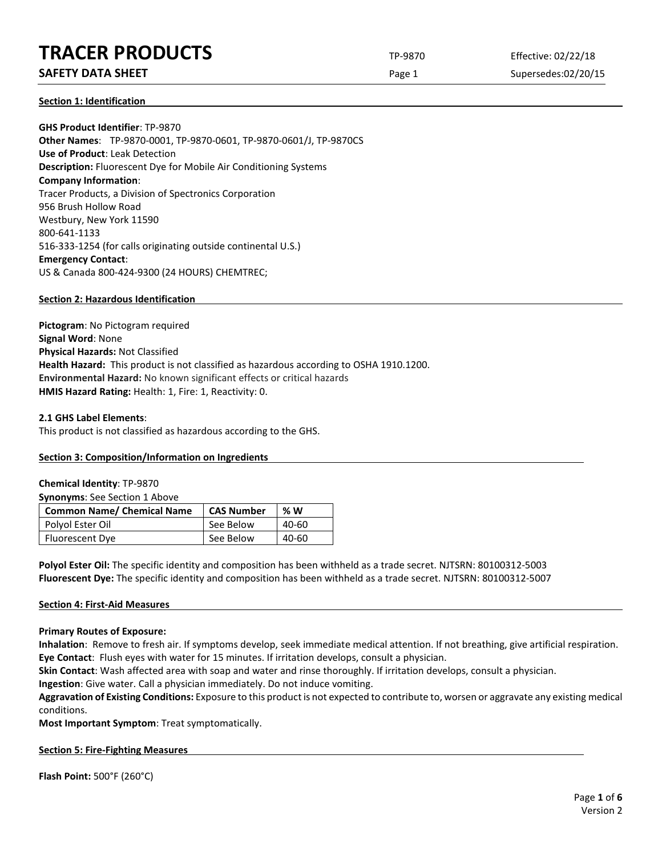# **TRACER PRODUCTS** TP-9870 Effective: 02/22/18

# **SAFETY DATA SHEET** SUPERFOUR CONSUMING THE Page 1 Supersedes:02/20/15

**Section 1: Identification**

**GHS Product Identifier**: TP-9870 **Other Names**: TP-9870-0001, TP-9870-0601, TP-9870-0601/J, TP-9870CS **Use of Product**: Leak Detection **Description:** Fluorescent Dye for Mobile Air Conditioning Systems **Company Information**: Tracer Products, a Division of Spectronics Corporation 956 Brush Hollow Road Westbury, New York 11590 800-641-1133 516-333-1254 (for calls originating outside continental U.S.) **Emergency Contact**: US & Canada 800-424-9300 (24 HOURS) CHEMTREC;

## **Section 2: Hazardous Identification**

**Pictogram**: No Pictogram required **Signal Word**: None **Physical Hazards:** Not Classified **Health Hazard:** This product is not classified as hazardous according to OSHA 1910.1200. **Environmental Hazard:** No known significant effects or critical hazards **HMIS Hazard Rating:** Health: 1, Fire: 1, Reactivity: 0.

### **2.1 GHS Label Elements**:

This product is not classified as hazardous according to the GHS.

# **Section 3: Composition/Information on Ingredients**

### **Chemical Identity**: TP-9870

**Synonyms**: See Section 1 Above

| <b>Common Name/ Chemical Name</b> | <b>CAS Number</b> | %W    |
|-----------------------------------|-------------------|-------|
| Polyol Ester Oil                  | See Below         | 40-60 |
| <b>Fluorescent Dye</b>            | See Below         | 40-60 |

**Polyol Ester Oil:** The specific identity and composition has been withheld as a trade secret. NJTSRN: 80100312-5003 **Fluorescent Dye:** The specific identity and composition has been withheld as a trade secret. NJTSRN: 80100312-5007

### **Section 4: First-Aid Measures**

**Primary Routes of Exposure:**

**Inhalation**: Remove to fresh air. If symptoms develop, seek immediate medical attention. If not breathing, give artificial respiration. **Eye Contact**: Flush eyes with water for 15 minutes. If irritation develops, consult a physician.

**Skin Contact**: Wash affected area with soap and water and rinse thoroughly. If irritation develops, consult a physician.

**Ingestion**: Give water. Call a physician immediately. Do not induce vomiting.

**Aggravation of Existing Conditions:** Exposure to this product is not expected to contribute to, worsen or aggravate any existing medical conditions.

**Most Important Symptom**: Treat symptomatically.

### **Section 5: Fire-Fighting Measures**

**Flash Point:** 500°F (260°C)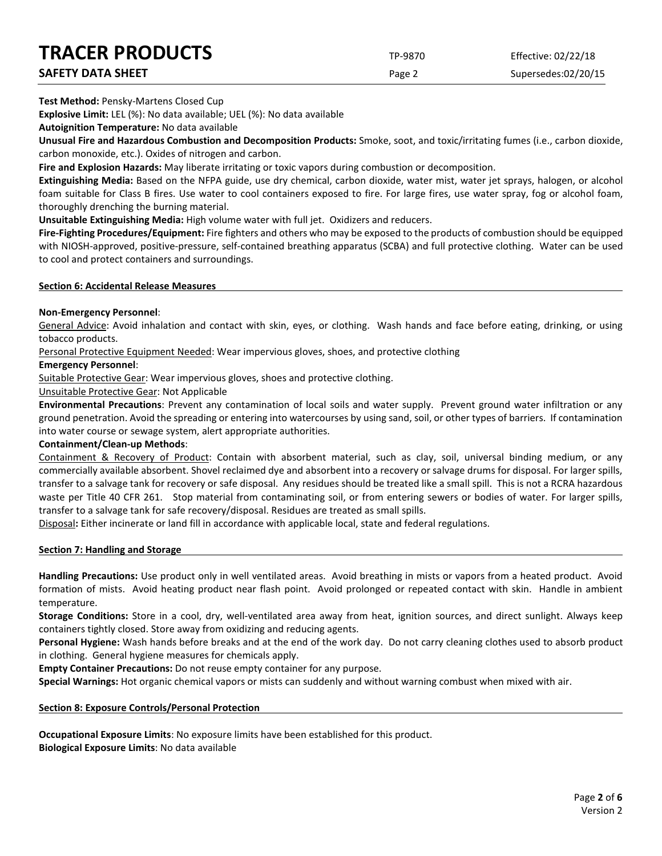| <b>TRACER PRODUCTS</b>   | TP-9870 | Effective: 02/22/18 |
|--------------------------|---------|---------------------|
| <b>SAFETY DATA SHEET</b> | Page 2  | Supersedes:02/20/15 |

**Test Method:** Pensky-Martens Closed Cup

**Explosive Limit:** LEL (%): No data available; UEL (%): No data available

**Autoignition Temperature:** No data available

**Unusual Fire and Hazardous Combustion and Decomposition Products:** Smoke, soot, and toxic/irritating fumes (i.e., carbon dioxide, carbon monoxide, etc.). Oxides of nitrogen and carbon.

**Fire and Explosion Hazards:** May liberate irritating or toxic vapors during combustion or decomposition.

**Extinguishing Media:** Based on the NFPA guide, use dry chemical, carbon dioxide, water mist, water jet sprays, halogen, or alcohol foam suitable for Class B fires. Use water to cool containers exposed to fire. For large fires, use water spray, fog or alcohol foam, thoroughly drenching the burning material.

**Unsuitable Extinguishing Media:** High volume water with full jet. Oxidizers and reducers.

**Fire-Fighting Procedures/Equipment:** Fire fighters and others who may be exposed to the products of combustion should be equipped with NIOSH-approved, positive-pressure, self-contained breathing apparatus (SCBA) and full protective clothing. Water can be used to cool and protect containers and surroundings.

### **Section 6: Accidental Release Measures**

### **Non-Emergency Personnel**:

General Advice: Avoid inhalation and contact with skin, eyes, or clothing. Wash hands and face before eating, drinking, or using tobacco products.

Personal Protective Equipment Needed: Wear impervious gloves, shoes, and protective clothing

### **Emergency Personnel**:

Suitable Protective Gear: Wear impervious gloves, shoes and protective clothing.

Unsuitable Protective Gear: Not Applicable

**Environmental Precautions**: Prevent any contamination of local soils and water supply. Prevent ground water infiltration or any ground penetration. Avoid the spreading or entering into watercourses by using sand, soil, or other types of barriers. If contamination into water course or sewage system, alert appropriate authorities.

### **Containment/Clean-up Methods**:

Containment & Recovery of Product: Contain with absorbent material, such as clay, soil, universal binding medium, or any commercially available absorbent. Shovel reclaimed dye and absorbent into a recovery or salvage drums for disposal. For larger spills, transfer to a salvage tank for recovery or safe disposal. Any residues should be treated like a small spill. This is not a RCRA hazardous waste per Title 40 CFR 261. Stop material from contaminating soil, or from entering sewers or bodies of water. For larger spills, transfer to a salvage tank for safe recovery/disposal. Residues are treated as small spills.

Disposal**:** Either incinerate or land fill in accordance with applicable local, state and federal regulations.

### **Section 7: Handling and Storage**

**Handling Precautions:** Use product only in well ventilated areas. Avoid breathing in mists or vapors from a heated product. Avoid formation of mists. Avoid heating product near flash point. Avoid prolonged or repeated contact with skin. Handle in ambient temperature.

**Storage Conditions:** Store in a cool, dry, well-ventilated area away from heat, ignition sources, and direct sunlight. Always keep containers tightly closed. Store away from oxidizing and reducing agents.

**Personal Hygiene:** Wash hands before breaks and at the end of the work day. Do not carry cleaning clothes used to absorb product in clothing. General hygiene measures for chemicals apply.

**Empty Container Precautions:** Do not reuse empty container for any purpose.

**Special Warnings:** Hot organic chemical vapors or mists can suddenly and without warning combust when mixed with air.

### **Section 8: Exposure Controls/Personal Protection**

**Occupational Exposure Limits**: No exposure limits have been established for this product. **Biological Exposure Limits**: No data available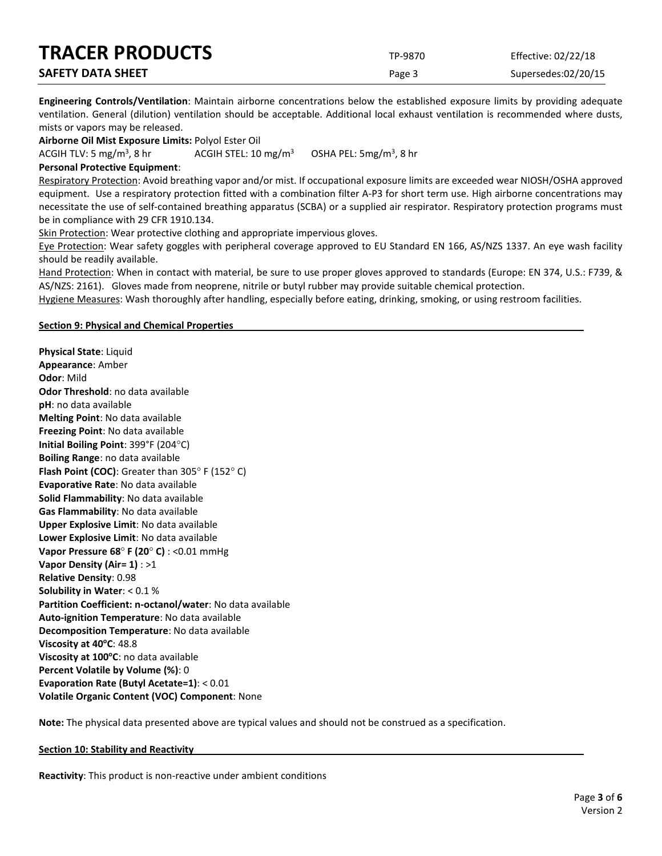| <b>TRACER PRODUCTS</b>   | TP-9870 | Effective: 02/22/18 |
|--------------------------|---------|---------------------|
| <b>SAFETY DATA SHEET</b> | Page 3  | Supersedes:02/20/15 |

**Engineering Controls/Ventilation**: Maintain airborne concentrations below the established exposure limits by providing adequate ventilation. General (dilution) ventilation should be acceptable. Additional local exhaust ventilation is recommended where dusts, mists or vapors may be released.

**Airborne Oil Mist Exposure Limits:** Polyol Ester Oil

ACGIH TLV: 5 mg/m<sup>3</sup>, 8 hr ACGIH STEL:  $10 \text{ mg/m}^3$ OSHA PEL:  $5mg/m<sup>3</sup>$ , 8 hr

## **Personal Protective Equipment**:

Respiratory Protection: Avoid breathing vapor and/or mist. If occupational exposure limits are exceeded wear NIOSH/OSHA approved equipment. Use a respiratory protection fitted with a combination filter A-P3 for short term use. High airborne concentrations may necessitate the use of self-contained breathing apparatus (SCBA) or a supplied air respirator. Respiratory protection programs must be in compliance with 29 CFR 1910.134.

Skin Protection: Wear protective clothing and appropriate impervious gloves.

Eye Protection: Wear safety goggles with peripheral coverage approved to EU Standard EN 166, AS/NZS 1337. An eye wash facility should be readily available.

Hand Protection: When in contact with material, be sure to use proper gloves approved to standards (Europe: EN 374, U.S.: F739, & AS/NZS: 2161). Gloves made from neoprene, nitrile or butyl rubber may provide suitable chemical protection.

Hygiene Measures: Wash thoroughly after handling, especially before eating, drinking, smoking, or using restroom facilities.

### **Section 9: Physical and Chemical Properties**

**Physical State**: Liquid **Appearance**: Amber **Odor**: Mild **Odor Threshold**: no data available **pH**: no data available **Melting Point**: No data available **Freezing Point**: No data available **Initial Boiling Point**: 399°F (204°C) **Boiling Range**: no data available **Flash Point (COC)**: Greater than 305° F (152° C) **Evaporative Rate**: No data available **Solid Flammability**: No data available **Gas Flammability**: No data available **Upper Explosive Limit**: No data available **Lower Explosive Limit**: No data available **Vapor Pressure 68**° **F (20**° **C)** : <0.01 mmHg **Vapor Density (Air= 1)** : >1 **Relative Density**: 0.98 **Solubility in Water**: < 0.1 % **Partition Coefficient: n-octanol/water**: No data available **Auto-ignition Temperature**: No data available **Decomposition Temperature**: No data available **Viscosity at 40°C: 48.8 Viscosity at 100°C**: no data available **Percent Volatile by Volume (%)**: 0 **Evaporation Rate (Butyl Acetate=1)**: < 0.01 **Volatile Organic Content (VOC) Component**: None

**Note:** The physical data presented above are typical values and should not be construed as a specification.

### **Section 10: Stability and Reactivity**

**Reactivity**: This product is non-reactive under ambient conditions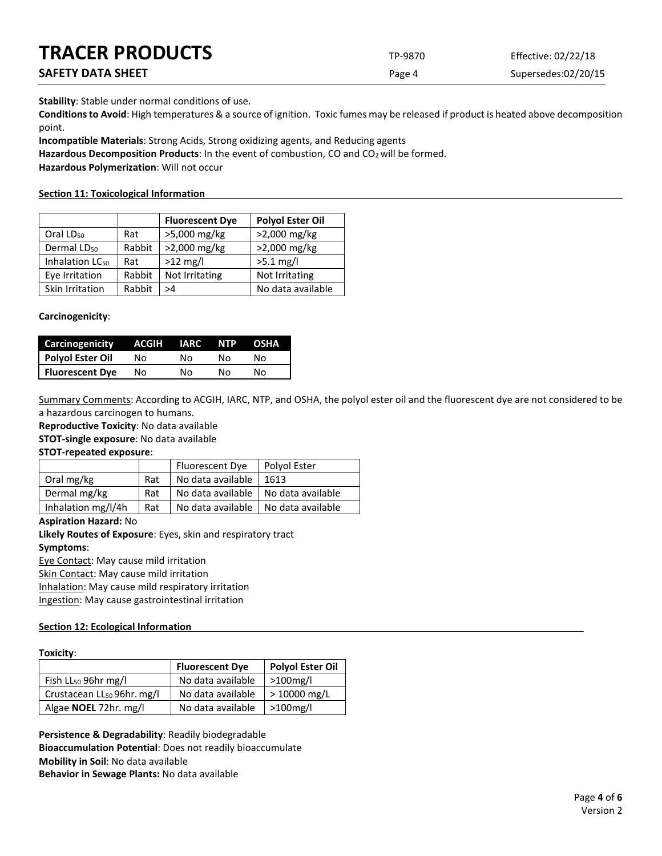| <b>TRACER PRODUCTS</b> | TP-9870 | Effective: 02/22/18 |
|------------------------|---------|---------------------|
| SAFETY DATA SHEET      | Page 4  | Supersedes:02/20/15 |

**Stability**: Stable under normal conditions of use.

**Conditions to Avoid**: High temperatures & a source of ignition. Toxic fumes may be released if product is heated above decomposition point.

**Incompatible Materials**: Strong Acids, Strong oxidizing agents, and Reducing agents

Hazardous Decomposition Products: In the event of combustion, CO and CO<sub>2</sub> will be formed.

**Hazardous Polymerization**: Will not occur

# **Section 11: Toxicological Information**

|                             |        | <b>Fluorescent Dye</b> | <b>Polyol Ester Oil</b> |
|-----------------------------|--------|------------------------|-------------------------|
| Oral LD <sub>50</sub>       | Rat    | >5,000 mg/kg           | >2,000 mg/kg            |
| Dermal LD <sub>50</sub>     | Rabbit | >2,000 mg/kg           | >2,000 mg/kg            |
| Inhalation LC <sub>50</sub> | Rat    | $>12$ mg/l             | $>5.1$ mg/l             |
| Eye Irritation              | Rabbit | Not Irritating         | Not Irritating          |
| Skin Irritation             | Rabbit | >4                     | No data available       |

# **Carcinogenicity**:

| Carcinogenicity        | ACGIH | IARC | NTP. | OSHA |
|------------------------|-------|------|------|------|
| Polyol Ester Oil       | Nο    | N٥   | N٥   | N٥   |
| <b>Fluorescent Dye</b> | Nο    | N٥   | N٥   | N٥   |

Summary Comments: According to ACGIH, IARC, NTP, and OSHA, the polyol ester oil and the fluorescent dye are not considered to be a hazardous carcinogen to humans.

**Reproductive Toxicity**: No data available

**STOT-single exposure**: No data available

**STOT-repeated exposure**:

|                    |     | Fluorescent Dye   | Polyol Ester      |
|--------------------|-----|-------------------|-------------------|
| Oral mg/kg         | Rat | No data available | 1613              |
| Dermal mg/kg       | Rat | No data available | No data available |
| Inhalation mg/l/4h | Rat | No data available | No data available |

# **Aspiration Hazard:** No

**Likely Routes of Exposure**: Eyes, skin and respiratory tract

# **Symptoms**:

Eye Contact: May cause mild irritation

Skin Contact: May cause mild irritation

Inhalation: May cause mild respiratory irritation

Ingestion: May cause gastrointestinal irritation

# **Section 12: Ecological Information**

# **Toxicity**:

|                                        | <b>Fluorescent Dye</b> | <b>Polyol Ester Oil</b> |
|----------------------------------------|------------------------|-------------------------|
| Fish $LL_{50}$ 96hr mg/l               | No data available      | $>100$ mg/l             |
| Crustacean LL <sub>50</sub> 96hr. mg/l | No data available      | > 10000 mg/L            |
| Algae NOEL 72hr. mg/l                  | No data available      | >100mg/l                |

**Persistence & Degradability**: Readily biodegradable **Bioaccumulation Potential**: Does not readily bioaccumulate **Mobility in Soil**: No data available **Behavior in Sewage Plants:** No data available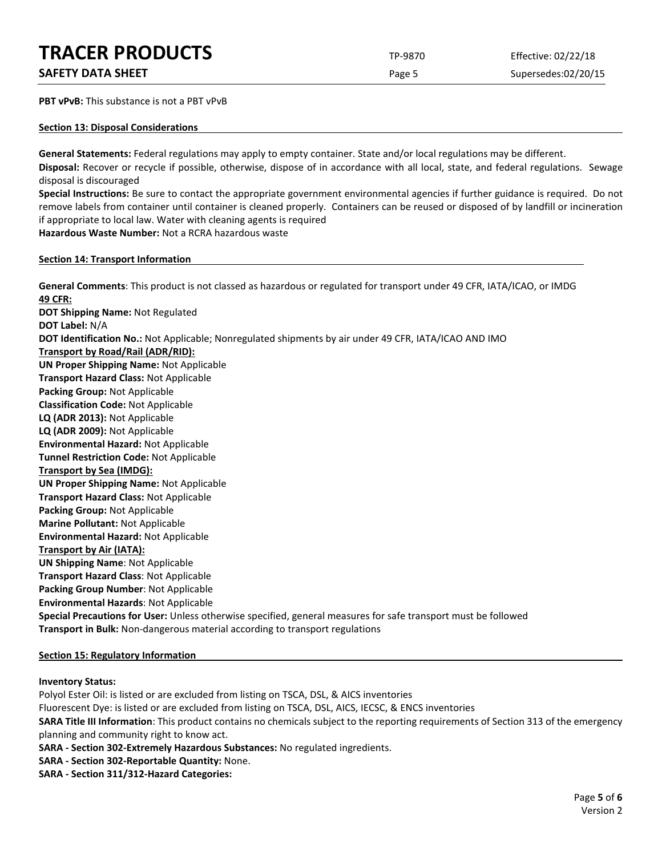# **TRACER PRODUCTS** TP-9870 Effective: 02/22/18

**SAFETY DATA SHEET** SUPERFOUR CONSUMING THE Page 5 Supersedes:02/20/15

**PBT vPvB:** This substance is not a PBT vPvB

# **Section 13: Disposal Considerations**

**General Statements:** Federal regulations may apply to empty container. State and/or local regulations may be different.

**Disposal:** Recover or recycle if possible, otherwise, dispose of in accordance with all local, state, and federal regulations. Sewage disposal is discouraged

**Special Instructions:** Be sure to contact the appropriate government environmental agencies if further guidance is required. Do not remove labels from container until container is cleaned properly. Containers can be reused or disposed of by landfill or incineration if appropriate to local law. Water with cleaning agents is required

**Hazardous Waste Number:** Not a RCRA hazardous waste

## **Section 14: Transport Information**

**General Comments**: This product is not classed as hazardous or regulated for transport under 49 CFR, IATA/ICAO, or IMDG **49 CFR: DOT Shipping Name:** Not Regulated **DOT Label:** N/A **DOT Identification No.:** Not Applicable; Nonregulated shipments by air under 49 CFR, IATA/ICAO AND IMO **Transport by Road/Rail (ADR/RID): UN Proper Shipping Name:** Not Applicable **Transport Hazard Class:** Not Applicable **Packing Group:** Not Applicable **Classification Code:** Not Applicable **LQ (ADR 2013):** Not Applicable **LQ (ADR 2009):** Not Applicable

**Environmental Hazard:** Not Applicable

**Tunnel Restriction Code:** Not Applicable

**Transport by Sea (IMDG):** 

**UN Proper Shipping Name:** Not Applicable

**Transport Hazard Class:** Not Applicable

**Packing Group:** Not Applicable **Marine Pollutant:** Not Applicable

**Environmental Hazard:** Not Applicable

**Transport by Air (IATA):**

**UN Shipping Name**: Not Applicable

**Transport Hazard Class**: Not Applicable

**Packing Group Number**: Not Applicable

**Environmental Hazards**: Not Applicable

**Special Precautions for User:** Unless otherwise specified, general measures for safe transport must be followed **Transport in Bulk:** Non-dangerous material according to transport regulations

# **Section 15: Regulatory Information**

# **Inventory Status:**

Polyol Ester Oil: is listed or are excluded from listing on TSCA, DSL, & AICS inventories Fluorescent Dye: is listed or are excluded from listing on TSCA, DSL, AICS, IECSC, & ENCS inventories **SARA Title III Information**: This product contains no chemicals subject to the reporting requirements of Section 313 of the emergency planning and community right to know act.

**SARA - Section 302-Extremely Hazardous Substances:** No regulated ingredients.

**SARA - Section 302-Reportable Quantity:** None.

**SARA - Section 311/312-Hazard Categories:**